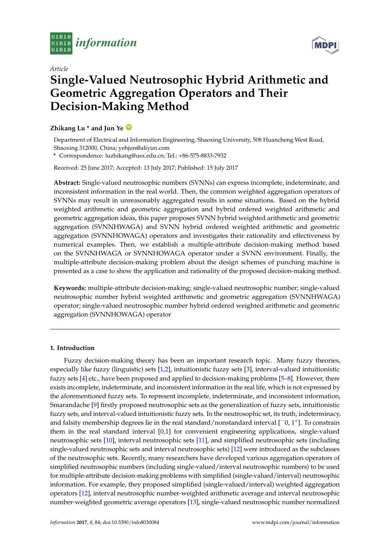



# *Article* **Single-Valued Neutrosophic Hybrid Arithmetic and Geometric Aggregation Operators and Their Decision-Making Method**

# **Zhikang Lu \* and Jun Ye [ID](https://orcid.org/0000-0003-2841-6529)**

Department of Electrical and Information Engineering, Shaoxing University, 508 Huancheng West Road, Shaoxing 312000, China; yehjun@aliyun.com

**\*** Correspondence: luzhikang@usx.edu.cn; Tel.: +86-575-8833-7932

Received: 25 June 2017; Accepted: 13 July 2017; Published: 15 July 2017

**Abstract:** Single-valued neutrosophic numbers (SVNNs) can express incomplete, indeterminate, and inconsistent information in the real world. Then, the common weighted aggregation operators of SVNNs may result in unreasonably aggregated results in some situations. Based on the hybrid weighted arithmetic and geometric aggregation and hybrid ordered weighted arithmetic and geometric aggregation ideas, this paper proposes SVNN hybrid weighted arithmetic and geometric aggregation (SVNNHWAGA) and SVNN hybrid ordered weighted arithmetic and geometric aggregation (SVNNHOWAGA) operators and investigates their rationality and effectiveness by numerical examples. Then, we establish a multiple-attribute decision-making method based on the SVNNHWAGA or SVNNHOWAGA operator under a SVNN environment. Finally, the multiple-attribute decision-making problem about the design schemes of punching machine is presented as a case to show the application and rationality of the proposed decision-making method.

**Keywords:** multiple-attribute decision-making; single-valued neutrosophic number; single-valued neutrosophic number hybrid weighted arithmetic and geometric aggregation (SVNNHWAGA) operator; single-valued neutrosophic number hybrid ordered weighted arithmetic and geometric aggregation (SVNNHOWAGA) operator

# **1. Introduction**

Fuzzy decision-making theory has been an important research topic. Many fuzzy theories, especially like fuzzy (linguistic) sets [\[1](#page-10-0)[,2\]](#page-10-1), intuitionistic fuzzy sets [\[3\]](#page-10-2), interval-valued intuitionistic fuzzy sets [\[4\]](#page-10-3) etc., have been proposed and applied to decision-making problems [\[5–](#page-10-4)[8\]](#page-10-5). However, there exists incomplete, indeterminate, and inconsistent information in the real life, which is not expressed by the aforementioned fuzzy sets. To represent incomplete, indeterminate, and inconsistent information, Smarandache [\[9\]](#page-10-6) firstly proposed neutrosophic sets as the generalization of fuzzy sets, intuitionistic fuzzy sets, and interval-valued intuitionistic fuzzy sets. In the neutrosophic set, its truth, indeterminacy, and falsity membership degrees lie in the real standard/nonstandard interval [−0, 1<sup>+</sup> ]. To constrain them in the real standard interval [0,1] for convenient engineering applications, single-valued neutrosophic sets [\[10\]](#page-11-0), interval neutrosophic sets [\[11\]](#page-11-1), and simplified neutrosophic sets (including single-valued neutrosophic sets and interval neutrosophic sets) [\[12\]](#page-11-2) were introduced as the subclasses of the neutrosophic sets. Recently, many researchers have developed various aggregation operators of simplified neutrosophic numbers (including single-valued/interval neutrosophic numbers) to be used for multiple-attribute decision-making problems with simplified (single-valued/interval) neutrosophic information. For example, they proposed simplified (single-valued/interval) weighted aggregation operators [\[12\]](#page-11-2), interval neutrosophic number-weighted arithmetic average and interval neutrosophic number-weighted geometric average operators [\[13\]](#page-11-3), single-valued neutrosophic number normalized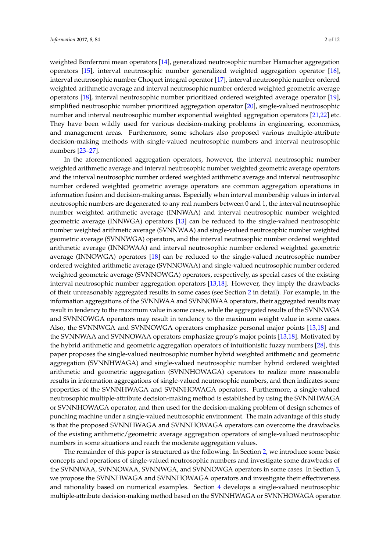weighted Bonferroni mean operators [\[14\]](#page-11-4), generalized neutrosophic number Hamacher aggregation operators [\[15\]](#page-11-5), interval neutrosophic number generalized weighted aggregation operator [\[16\]](#page-11-6), interval neutrosophic number Choquet integral operator [\[17\]](#page-11-7), interval neutrosophic number ordered weighted arithmetic average and interval neutrosophic number ordered weighted geometric average operators [\[18\]](#page-11-8), interval neutrosophic number prioritized ordered weighted average operator [\[19\]](#page-11-9), simplified neutrosophic number prioritized aggregation operator [\[20\]](#page-11-10), single-valued neutrosophic number and interval neutrosophic number exponential weighted aggregation operators [\[21](#page-11-11)[,22\]](#page-11-12) etc. They have been wildly used for various decision-making problems in engineering, economics, and management areas. Furthermore, some scholars also proposed various multiple-attribute decision-making methods with single-valued neutrosophic numbers and interval neutrosophic numbers [\[23](#page-11-13)[–27\]](#page-11-14).

In the aforementioned aggregation operators, however, the interval neutrosophic number weighted arithmetic average and interval neutrosophic number weighted geometric average operators and the interval neutrosophic number ordered weighted arithmetic average and interval neutrosophic number ordered weighted geometric average operators are common aggregation operations in information fusion and decision-making areas. Especially when interval membership values in interval neutrosophic numbers are degenerated to any real numbers between 0 and 1, the interval neutrosophic number weighted arithmetic average (INNWAA) and interval neutrosophic number weighted geometric average (INNWGA) operators [\[13\]](#page-11-3) can be reduced to the single-valued neutrosophic number weighted arithmetic average (SVNNWAA) and single-valued neutrosophic number weighted geometric average (SVNNWGA) operators, and the interval neutrosophic number ordered weighted arithmetic average (INNOWAA) and interval neutrosophic number ordered weighted geometric average (INNOWGA) operators [\[18\]](#page-11-8) can be reduced to the single-valued neutrosophic number ordered weighted arithmetic average (SVNNOWAA) and single-valued neutrosophic number ordered weighted geometric average (SVNNOWGA) operators, respectively, as special cases of the existing interval neutrosophic number aggregation operators [\[13](#page-11-3)[,18\]](#page-11-8). However, they imply the drawbacks of their unreasonably aggregated results in some cases (see Section [2](#page-2-0) in detail). For example, in the information aggregations of the SVNNWAA and SVNNOWAA operators, their aggregated results may result in tendency to the maximum value in some cases, while the aggregated results of the SVNNWGA and SVNNOWGA operators may result in tendency to the maximum weight value in some cases. Also, the SVNNWGA and SVNNOWGA operators emphasize personal major points [\[13,](#page-11-3)[18\]](#page-11-8) and the SVNNWAA and SVNNOWAA operators emphasize group's major points [\[13,](#page-11-3)[18\]](#page-11-8). Motivated by the hybrid arithmetic and geometric aggregation operators of intuitionistic fuzzy numbers [\[28\]](#page-11-15), this paper proposes the single-valued neutrosophic number hybrid weighted arithmetic and geometric aggregation (SVNNHWAGA) and single-valued neutrosophic number hybrid ordered weighted arithmetic and geometric aggregation (SVNNHOWAGA) operators to realize more reasonable results in information aggregations of single-valued neutrosophic numbers, and then indicates some properties of the SVNNHWAGA and SVNNHOWAGA operators. Furthermore, a single-valued neutrosophic multiple-attribute decision-making method is established by using the SVNNHWAGA or SVNNHOWAGA operator, and then used for the decision-making problem of design schemes of punching machine under a single-valued neutrosophic environment. The main advantage of this study is that the proposed SVNNHWAGA and SVNNHOWAGA operators can overcome the drawbacks of the existing arithmetic/geometric average aggregation operators of single-valued neutrosophic numbers in some situations and reach the moderate aggregation values.

The remainder of this paper is structured as the following. In Section [2,](#page-2-0) we introduce some basic concepts and operations of single-valued neutrosophic numbers and investigate some drawbacks of the SVNNWAA, SVNNOWAA, SVNNWGA, and SVNNOWGA operators in some cases. In Section [3,](#page-3-0) we propose the SVNNHWAGA and SVNNHOWAGA operators and investigate their effectiveness and rationality based on numerical examples. Section [4](#page-6-0) develops a single-valued neutrosophic multiple-attribute decision-making method based on the SVNNHWAGA or SVNNHOWAGA operator.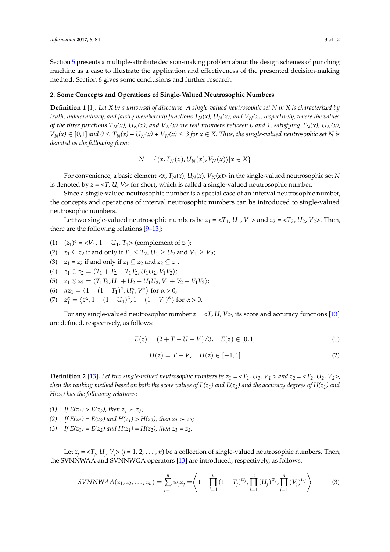Section [5](#page-7-0) presents a multiple-attribute decision-making problem about the design schemes of punching machine as a case to illustrate the application and effectiveness of the presented decision-making method. Section [6](#page-10-7) gives some conclusions and further research.

#### <span id="page-2-0"></span>**2. Some Concepts and Operations of Single-Valued Neutrosophic Numbers**

**Definition 1** [\[1\]](#page-10-0)**.** *Let X be a universal of discourse. A single-valued neutrosophic set N in X is characterized by truth, indeterminacy, and falsity membership functions*  $T_N(x)$ *,*  $U_N(x)$ *, and*  $V_N(x)$ *, respectively, where the values of the three functions*  $T_N(x)$ ,  $U_N(x)$ , and  $V_N(x)$  are real numbers between 0 and 1, satisfying  $T_N(x)$ ,  $U_N(x)$ , *V*<sup>*N*</sup> $(N)$  ∈ [0,1] *and*  $0 ≤ T<sub>N</sub>(x) + U<sub>N</sub>(x) + V<sub>N</sub>(x) ≤ 3$  *for*  $x ∈ X$ . *Thus, the single-valued neutrosophic set N is denoted as the following form*:

$$
N = \{ \langle x, T_N(x), U_N(x), V_N(x) \rangle | x \in X \}
$$

For convenience, a basic element  $\langle x, T_N(x), U_N(x) \rangle$  in the single-valued neutrosophic set *N* is denoted by *z* = <*T*, *U*, *V*> for short, which is called a single-valued neutrosophic number.

Since a single-valued neutrosophic number is a special case of an interval neutrosophic number, the concepts and operations of interval neutrosophic numbers can be introduced to single-valued neutrosophic numbers.

Let two single-valued neutrosophic numbers be  $z_1 = \langle T_1, U_1, V_1 \rangle$  and  $z_2 = \langle T_2, U_2, V_2 \rangle$ . Then, there are the following relations [\[9–](#page-10-6)[13\]](#page-11-3):

- (1)  $(z_1)^c = \langle V_1, 1 U_1, T_1 \rangle$  (complement of  $z_1$ );
- (2)  $z_1 \subseteq z_2$  if and only if  $T_1 \le T_2$ ,  $U_1 \ge U_2$  and  $V_1 \ge V_2$ ;
- (3)  $z_1 = z_2$  if and only if  $z_1 \subseteq z_2$  and  $z_2 \subseteq z_1$ .
- (4)  $z_1 \oplus z_2 = \langle T_1 + T_2 T_1 T_2, U_1 U_2, V_1 V_2 \rangle;$
- $(z_1 \otimes z_1 \otimes z_2) = \langle T_1 T_2, U_1 + U_2 U_1 U_2, V_1 + V_2 V_1 V_2 \rangle;$
- (6)  $\alpha z_1 = \langle 1 (1 T_1)^{\alpha}, U_1^{\alpha}, V_1^{\alpha} \rangle \text{ for } \alpha > 0;$
- (7)  $z_1^{\alpha} = \langle z_1^{\alpha}, 1 (1 U_1)^{\alpha}, 1 (1 V_1)^{\alpha} \rangle$  for  $\alpha > 0$ .

For any single-valued neutrosophic number  $z = \langle T, U, V \rangle$ , its score and accuracy functions [\[13\]](#page-11-3) are defined, respectively, as follows:

$$
E(z) = (2 + T - U - V)/3, \quad E(z) \in [0, 1]
$$
 (1)

$$
H(z) = T - V, \quad H(z) \in [-1, 1]
$$
 (2)

**Definition 2** [\[13\]](#page-11-3). Let two single-valued neutrosophic numbers be  $z_1 = \langle T_1, U_1, V_1 \rangle$  and  $z_2 = \langle T_2, U_2, V_2 \rangle$ , *then the ranking method based on both the score values of E(z1) and E(z2) and the accuracy degrees of H(z1) and H(z2) has the following relations*:

- (1) *If*  $E(z_1) > E(z_2)$ , then  $z_1 > z_2$ ;
- (2) *If*  $E(z_1) = E(z_2)$  *and*  $H(z_1) > H(z_2)$ *, then*  $z_1 > z_2$ *;*
- (3) If  $E(z_1) = E(z_2)$  and  $H(z_1) = H(z_2)$ , then  $z_1 = z_2$ .

Let  $z_j = \langle T_j, U_j, V_j \rangle$  ( $j = 1, 2, ..., n$ ) be a collection of single-valued neutrosophic numbers. Then, the SVNNWAA and SVNNWGA operators [\[13\]](#page-11-3) are introduced, respectively, as follows:

$$
SVNNWAA(z_1, z_2,..., z_n) = \sum_{j=1}^n w_j z_j = \left\langle 1 - \prod_{j=1}^n (1 - T_j)^{w_j}, \prod_{j=1}^n (U_j)^{w_j}, \prod_{j=1}^n (V_j)^{w_j} \right\rangle
$$
(3)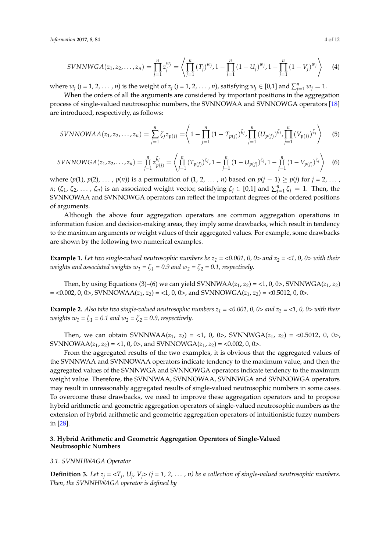$$
SVNNWGA(z_1, z_2, ..., z_n) = \prod_{j=1}^{n} z_j^{w_j} = \left\langle \prod_{j=1}^{n} (T_j)^{w_j}, 1 - \prod_{j=1}^{n} (1 - U_j)^{w_j}, 1 - \prod_{j=1}^{n} (1 - V_j)^{w_j} \right\rangle \tag{4}
$$

where  $w_j$  ( $j = 1, 2, ..., n$ ) is the weight of  $z_j$  ( $j = 1, 2, ..., n$ ), satisfying  $w_j \in [0,1]$  and  $\sum_{j=1}^n w_j = 1$ .

When the orders of all the arguments are considered by important positions in the aggregation process of single-valued neutrosophic numbers, the SVNNOWAA and SVNNOWGA operators [\[18\]](#page-11-8) are introduced, respectively, as follows:

$$
SVNNOWAA(z_1, z_2, ..., z_n) = \sum_{j=1}^n \zeta_j z_{p(j)} = \left\langle 1 - \prod_{j=1}^n (1 - T_{p(j)})^{\zeta_j}, \prod_{j=1}^n (U_{p(j)})^{\zeta_j}, \prod_{j=1}^n (V_{p(j)})^{\zeta_j} \right\rangle \tag{5}
$$

$$
SVNNOWGA(z_1, z_2, ..., z_n) = \prod_{j=1}^{n} z_{p(j)}^{\zeta_j} = \left\langle \prod_{j=1}^{n} (T_{p(j)})^{\zeta_j}, 1 - \prod_{j=1}^{n} (1 - U_{p(j)})^{\zeta_j}, 1 - \prod_{j=1}^{n} (1 - V_{p(j)})^{\zeta_j} \right\rangle \tag{6}
$$

where  $(p(1), p(2), \ldots, p(n))$  is a permutation of  $(1, 2, \ldots, n)$  based on  $p(j - 1) \geq p(j)$  for  $j = 2, \ldots$ , *n*; ( $\zeta_1$ ,  $\zeta_2$ , ...,  $\zeta_n$ ) is an associated weight vector, satisfying  $\zeta_j \in [0,1]$  and  $\sum_{j=1}^n \zeta_j = 1$ . Then, the SVNNOWAA and SVNNOWGA operators can reflect the important degrees of the ordered positions of arguments.

Although the above four aggregation operators are common aggregation operations in information fusion and decision-making areas, they imply some drawbacks, which result in tendency to the maximum arguments or weight values of their aggregated values. For example, some drawbacks are shown by the following two numerical examples.

**Example 1.** Let two single-valued neutrosophic numbers be  $z_1 = \langle 0.001, 0, 0 \rangle$  and  $z_2 = \langle 1, 0, 0 \rangle$  with their *weights and associated weights*  $w_1 = \zeta_1 = 0.9$  *and*  $w_2 = \zeta_2 = 0.1$ *, respectively.* 

Then, by using Equations (3)–(6) we can yield SVNNWAA( $z_1$ ,  $z_2$ ) = <1, 0, 0>, SVNNWGA( $z_1$ ,  $z_2$ )  $=$  <0.002, 0, 0>, SVNNOWAA( $z_1$ ,  $z_2$ ) = <1, 0, 0>, and SVNNOWGA( $z_1$ ,  $z_2$ ) = <0.5012, 0, 0>.

**Example 2.** Also take two single-valued neutrosophic numbers  $z_1 = \langle 0.001, 0, 0 \rangle$  and  $z_2 = \langle 1, 0, 0 \rangle$  with their *weights*  $w_1 = \zeta_1 = 0.1$  *and*  $w_2 = \zeta_2 = 0.9$ *, respectively.* 

Then, we can obtain SVNNWAA( $z_1$ ,  $z_2$ ) = <1, 0, 0>, SVNNWGA( $z_1$ ,  $z_2$ ) = <0.5012, 0, 0>, SVNNOWAA( $z_1$ ,  $z_2$ ) = <1, 0, 0>, and SVNNOWGA( $z_1$ ,  $z_2$ ) = <0.002, 0, 0>.

From the aggregated results of the two examples, it is obvious that the aggregated values of the SVNNWAA and SVNNOWAA operators indicate tendency to the maximum value, and then the aggregated values of the SVNNWGA and SVNNOWGA operators indicate tendency to the maximum weight value. Therefore, the SVNNWAA, SVNNOWAA, SVNNWGA and SVNNOWGA operators may result in unreasonably aggregated results of single-valued neutrosophic numbers in some cases. To overcome these drawbacks, we need to improve these aggregation operators and to propose hybrid arithmetic and geometric aggregation operators of single-valued neutrosophic numbers as the extension of hybrid arithmetic and geometric aggregation operators of intuitionistic fuzzy numbers in [\[28\]](#page-11-15).

# <span id="page-3-0"></span>**3. Hybrid Arithmetic and Geometric Aggregation Operators of Single-Valued Neutrosophic Numbers**

#### *3.1. SVNNHWAGA Operator*

**Definition 3.** Let  $z_j = \langle T_j, U_j, V_j \rangle$  ( $j = 1, 2, ..., n$ ) be a collection of single-valued neutrosophic numbers. *Then, the SVNNHWAGA operator is defined by*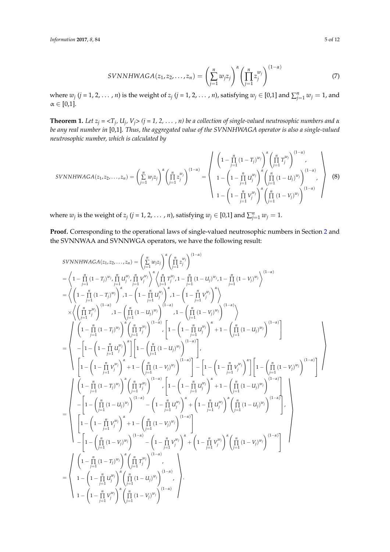$$
SUNNHWAGA(z_1, z_2,..., z_n) = \left(\sum_{j=1}^n w_j z_j\right)^{\alpha} \left(\prod_{j=1}^n z_j^{w_j}\right)^{(1-\alpha)}\tag{7}
$$

where  $w_j$  ( $j = 1, 2, ..., n$ ) is the weight of  $z_j$  ( $j = 1, 2, ..., n$ ), satisfying  $w_j \in [0,1]$  and  $\sum_{j=1}^n w_j = 1$ , and  $\alpha \in [0,1]$ .

**Theorem 1.** *Let z<sup>j</sup> = <T<sup>j</sup> , U<sup>j</sup> , Vj> (j = 1, 2,* . . . *, n) be a collection of single-valued neutrosophic numbers and α be any real number in* [0,1]*. Thus, the aggregated value of the SVNNHWAGA operator is also a single-valued neutrosophic number, which is calculated by*

$$
SUNNHWAGA(z_1, z_2, ..., z_n) = \left(\sum_{j=1}^n w_j z_j\right)^{\alpha} \left(\prod_{j=1}^n z_j^{w_j}\right)^{(1-\alpha)} = \left(\begin{array}{c} \left(1 - \prod_{j=1}^n (1 - T_j)^{w_j}\right)^{\alpha} \left(\prod_{j=1}^n T_j^{w_j}\right)^{(1-\alpha)}, \\ 1 - \left(1 - \prod_{j=1}^n U_j^{w_j}\right)^{\alpha} \left(\prod_{j=1}^n (1 - U_j)^{w_j}\right)^{(1-\alpha)}, \\ 1 - \left(1 - \prod_{j=1}^n V_j^{w_j}\right)^{\alpha} \left(\prod_{j=1}^n (1 - V_j)^{w_j}\right)^{(1-\alpha)} \end{array}\right) \tag{8}
$$

where  $w_j$  is the weight of  $z_j$  ( $j = 1, 2, ..., n$ ), satisfying  $w_j \in [0,1]$  and  $\sum_{j=1}^n w_j = 1$ .

**Proof.** Corresponding to the operational laws of single-valued neutrosophic numbers in Section [2](#page-2-0) and the SVNNWAA and SVNNWGA operators, we have the following result:

$$
S VNNHWAGA(z_1, z_2,..., z_n) = \left(\sum_{j=1}^{n} w_j z_j\right)^{\alpha} \left(\prod_{j=1}^{n} z_j^{w_j}\right)^{(1-\alpha)}
$$
\n
$$
= \left\langle 1 - \prod_{j=1}^{n} (1 - T_j)^{w_j} \prod_{j=1}^{n} U_j^{w_j} \prod_{j=1}^{n} Y_j^{w_j} \right)^{\alpha} \left\langle \prod_{j=1}^{n} T_j^{w_j} \right. \left\langle 1 - \prod_{j=1}^{n} (1 - U_j)^{w_j} \right\rangle^{(1-\alpha)}
$$
\n
$$
= \left\langle \left(1 - \prod_{j=1}^{n} (1 - T_j)^{w_j}\right)^{w_j} \right\rangle^{(1-\alpha)} \left\langle 1 - \prod_{j=1}^{n} U_j^{w_j} \right\rangle^{(1-\alpha)} \right\rangle^{(1-\alpha)} \times \left\langle \left(\prod_{j=1}^{n} T_j^{w_j}\right)^{(\alpha-1)} \right\rangle^{(1-\alpha)} \times \left\langle \left(\prod_{j=1}^{n} (1 - U_j)^{w_j}\right)^{\alpha} \right\rangle^{(1-\alpha)} \times \left\langle \left(\prod_{j=1}^{n} (1 - U_j)^{w_j}\right)^{\alpha} \right\rangle^{(1-\alpha)} \left\langle 1 - \prod_{j=1}^{n} (1 - U_j)^{w_j} \right\rangle^{(1-\alpha)} \right\rangle^{(1-\alpha)} \times \left\langle 1 - \left(\prod_{j=1}^{n} (1 - U_j)^{w_j}\right)^{\alpha} \right\rangle^{(1-\alpha)} \times \left\langle 1 - \left(\prod_{j=1}^{n} (1 - U_j)^{w_j}\right)^{\alpha} + 1 - \left(\prod_{j=1}^{n} (1 - U_j)^{w_j}\right)^{\alpha} \right\rangle^{(1-\alpha)} \right\rangle^{(1-\alpha)} \times \left\langle 1 - \left(1 - \prod_{j=1}^{n} U_j^{w_j}\right)^{\alpha} + 1 - \left(\prod_{j=1}^{n} (1 - U_j)^{w_j}\right)^{\alpha} \right\rangle^{(1-\alpha)} \right\rangle^{(1-\alpha)} \times \left\langle 1 - \left(1 - \prod_{j=1}^{n} U_j^{w_j}\right)^{\alpha} + 1 - \left(\prod_{j=1}^{n} (1 - U_j)^{w_j}\right)^{\alpha}
$$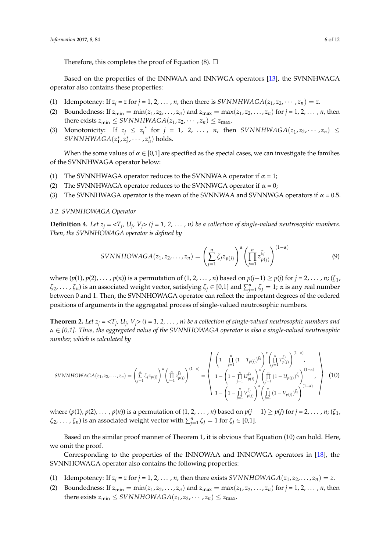Therefore, this completes the proof of Equation (8).  $\Box$ 

Based on the properties of the INNWAA and INNWGA operators [\[13\]](#page-11-3), the SVNNHWAGA operator also contains these properties:

- (1) Idempotency: If  $z_j = z$  for  $j = 1, 2, ..., n$ , then there is *SVNNHWAGA*( $z_1, z_2, ..., z_n$ ) = *z*.
- (2) Boundedness: If  $z_{\min} = \min(z_1, z_2, \dots, z_n)$  and  $z_{\max} = \max(z_1, z_2, \dots, z_n)$  for  $j = 1, 2, \dots, n$ , then there exists  $z_{\text{min}} \leq SVNNHWAGA(z_1, z_2, \dots, z_n) \leq z_{\text{max}}$ .
- (3) Monotonicity: If  $z_j \leq z_j^*$  for  $j = 1, 2, ..., n$ , then  $SUNNHWAGA(z_1, z_2, \dots, z_n) \leq$  $SVNNHWAGA(z_1^*, z_2^*, \cdots, z_n^*)$  holds.

When the some values of  $\alpha \in [0,1]$  are specified as the special cases, we can investigate the families of the SVNNHWAGA operator below:

- (1) The SVNNHWAGA operator reduces to the SVNNWAA operator if  $\alpha = 1$ ;
- (2) The SVNNHWAGA operator reduces to the SVNNWGA operator if  $\alpha = 0$ ;
- (3) The SVNNHWAGA operator is the mean of the SVNNWAA and SVNNWGA operators if  $\alpha = 0.5$ .

# *3.2. SVNNHOWAGA Operator*

**Definition 4.** Let  $z_j = \langle T_j, U_j, V_j \rangle$  ( $j = 1, 2, ..., n$ ) be a collection of single-valued neutrosophic numbers. *Then, the SVNNHOWAGA operator is defined by*

$$
SUNNHOWAGA(z_1, z_2, \dots, z_n) = \left(\sum_{j=1}^n \zeta_j z_{p(j)}\right)^{\alpha} \left(\prod_{j=1}^n z_{p(j)}^{\zeta_j}\right)^{(1-\alpha)}
$$
(9)

where  $(p(1), p(2), \ldots, p(n))$  is a permutation of  $(1, 2, \ldots, n)$  based on  $p(j-1) \ge p(j)$  for  $j = 2, \ldots, n$ ;  $(\zeta_1, \zeta_2, \ldots, \zeta_n)$  $\zeta_2, \ldots, \zeta_n$ ) is an associated weight vector, satisfying  $\zeta_j \in [0,1]$  and  $\sum_{j=1}^n \zeta_j = 1$ ;  $\alpha$  is any real number between 0 and 1. Then, the SVNNHOWAGA operator can reflect the important degrees of the ordered positions of arguments in the aggregated process of single-valued neutrosophic numbers.

**Theorem 2.** Let  $z_j = \langle T_j, U_j, V_j \rangle$  (j = 1, 2,  $\dots$  , n) be a collection of single-valued neutrosophic numbers and *α* ∈ *[0,1]. Thus, the aggregated value of the SVNNHOWAGA operator is also a single-valued neutrosophic number, which is calculated by*

$$
SVNNHOWAGA(z_1, z_2,..., z_n) = \left(\sum_{j=1}^n \zeta_j z_{p(j)}\right)^{\alpha} \left(\prod_{j=1}^n z_{p(j)}^{\zeta_j}\right)^{(1-\alpha)} = \left(\begin{array}{c} \left(1 - \prod_{j=1}^n (1 - T_{p(j)})^{\zeta_j}\right)^{\alpha} \left(\prod_{j=1}^n T_{p(j)}^{\zeta_j}\right)^{(1-\alpha)},\\ 1 - \left(1 - \prod_{j=1}^n U_{p(j)}^{\zeta_j}\right)^{\alpha} \left(\prod_{j=1}^n (1 - U_{p(j)})^{\zeta_j}\right)^{(1-\alpha)},\\ 1 - \left(1 - \prod_{j=1}^n V_{p(j)}^{\zeta_j}\right)^{\alpha} \left(\prod_{j=1}^n (1 - V_{p(j)})^{\zeta_j}\right)^{(1-\alpha)} \end{array}\right) \tag{10}
$$

where  $(p(1), p(2), \ldots, p(n))$  is a permutation of  $(1, 2, \ldots, n)$  based on  $p(j - 1) \ge p(j)$  for  $j = 2, \ldots, n$ ;  $(\zeta_1, \zeta_2, \ldots, \zeta_n)$  $\zeta_2$ , ...,  $\zeta_n$ ) is an associated weight vector with  $\sum_{j=1}^n \zeta_j = 1$  for  $\zeta_j \in [0,1]$ .

Based on the similar proof manner of Theorem 1, it is obvious that Equation (10) can hold. Here, we omit the proof.

Corresponding to the properties of the INNOWAA and INNOWGA operators in [\[18\]](#page-11-8), the SVNNHOWAGA operator also contains the following properties:

- (1) Idempotency: If  $z_i = z$  for  $j = 1, 2, \ldots, n$ , then there exists *SVNNHOWAGA*( $z_1, z_2, \ldots, z_n$ ) = *z*.
- (2) Boundedness: If  $z_{\min} = \min(z_1, z_2, \ldots, z_n)$  and  $z_{\max} = \max(z_1, z_2, \ldots, z_n)$  for  $j = 1, 2, \ldots, n$ , then there exists  $z_{\text{min}} \leq SVNNHOWAGA(z_1, z_2, \dots, z_n) \leq z_{\text{max}}$ .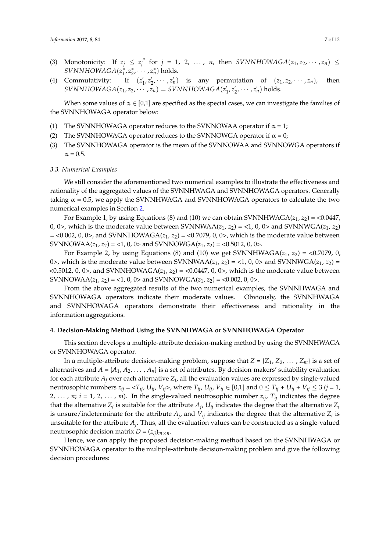- (3) Monotonicity: If  $z_j \leq z_j^*$  for  $j = 1, 2, ..., n$ , then  $SUNNHOWAGA(z_1, z_2, \dots, z_n) \leq$  $SUNNHOWAGA(z_1^*, z_2^*, \cdots, z_n^*)$  holds.
- (4) Commutativity: If  $(z^2)$  $\frac{1}{1}$ ,  $z'$ <sub>2</sub>  $(z_1, z_2, \dots, z_n)$  is any permutation of  $(z_1, z_2, \dots, z_n)$ , then  $SVNNHOWAGA(z_1, z_2, \cdots, z_n) = SVNNHOWAGA(z_1)$  $\frac{1}{2}$ ,  $z'_{2}$  $z_2' \cdots z_n'$  holds.

When some values of  $\alpha \in [0,1]$  are specified as the special cases, we can investigate the families of the SVNNHOWAGA operator below:

- (1) The SVNNHOWAGA operator reduces to the SVNNOWAA operator if  $\alpha = 1$ ;
- (2) The SVNNHOWAGA operator reduces to the SVNNOWGA operator if  $\alpha = 0$ ;
- (3) The SVNNHOWAGA operator is the mean of the SVNNOWAA and SVNNOWGA operators if  $\alpha = 0.5$ .

#### *3.3. Numerical Examples*

We still consider the aforementioned two numerical examples to illustrate the effectiveness and rationality of the aggregated values of the SVNNHWAGA and SVNNHOWAGA operators. Generally taking  $\alpha$  = 0.5, we apply the SVNNHWAGA and SVNNHOWAGA operators to calculate the two numerical examples in Section [2.](#page-2-0)

For Example 1, by using Equations (8) and (10) we can obtain SVNNHWAGA( $z_1$ ,  $z_2$ ) = <0.0447, 0, 0>, which is the moderate value between SVNNWAA( $z_1$ ,  $z_2$ ) = <1, 0, 0> and SVNNWGA( $z_1$ ,  $z_2$ )  $=$  <0.002, 0, 0>, and SVNNHOWAGA( $z_1$ ,  $z_2$ ) = <0.7079, 0, 0>, which is the moderate value between SVNNOWAA( $z_1$ ,  $z_2$ ) = <1, 0, 0> and SVNNOWGA( $z_1$ ,  $z_2$ ) = <0.5012, 0, 0>.

For Example 2, by using Equations (8) and (10) we get SVNNHWAGA( $z_1$ ,  $z_2$ ) = <0.7079, 0, 0>, which is the moderate value between SVNNWAA( $z_1$ ,  $z_2$ ) = <1, 0, 0> and SVNNWGA( $z_1$ ,  $z_2$ ) = <0.5012, 0, 0>, and SVNNHOWAGA( $z_1$ ,  $z_2$ ) = <0.0447, 0, 0>, which is the moderate value between SVNNOWAA( $z_1$ ,  $z_2$ ) = <1, 0, 0> and SVNNOWGA( $z_1$ ,  $z_2$ ) = <0.002, 0, 0>.

From the above aggregated results of the two numerical examples, the SVNNHWAGA and SVNNHOWAGA operators indicate their moderate values. Obviously, the SVNNHWAGA and SVNNHOWAGA operators demonstrate their effectiveness and rationality in the information aggregations.

#### <span id="page-6-0"></span>**4. Decision-Making Method Using the SVNNHWAGA or SVNNHOWAGA Operator**

This section develops a multiple-attribute decision-making method by using the SVNNHWAGA or SVNNHOWAGA operator.

In a multiple-attribute decision-making problem, suppose that  $Z = \{Z_1, Z_2, \ldots, Z_m\}$  is a set of alternatives and  $A = \{A_1, A_2, \dots, A_n\}$  is a set of attributes. By decision-makers' suitability evaluation for each attribute *A<sup>j</sup>* over each alternative *Z<sup>i</sup>* , all the evaluation values are expressed by single-valued neutrosophic numbers  $z_{ij} = \langle T_{ij}, U_{ij}, V_{ij} \rangle$ , where  $T_{ij}$ ,  $U_{ij}$ ,  $V_{ij} \in [0,1]$  and  $0 \le T_{ij} + U_{ij} + V_{ij} \le 3$  (j = 1, 2, ..., *n*; *i* = 1, 2, ..., *m*). In the single-valued neutrosophic number  $z_{ij}$ ,  $T_{ij}$  indicates the degree that the alternative  $Z_i$  is suitable for the attribute  $A_j$ ,  $U_{ij}$  indicates the degree that the alternative  $Z_i$ is unsure/indeterminate for the attribute  $A_j$ , and  $V_{ij}$  indicates the degree that the alternative  $Z_i$  is unsuitable for the attribute  $A_j$ . Thus, all the evaluation values can be constructed as a single-valued neutrosophic decision matrix  $D = (z_{ij})_{m \times n}$ .

Hence, we can apply the proposed decision-making method based on the SVNNHWAGA or SVNNHOWAGA operator to the multiple-attribute decision-making problem and give the following decision procedures: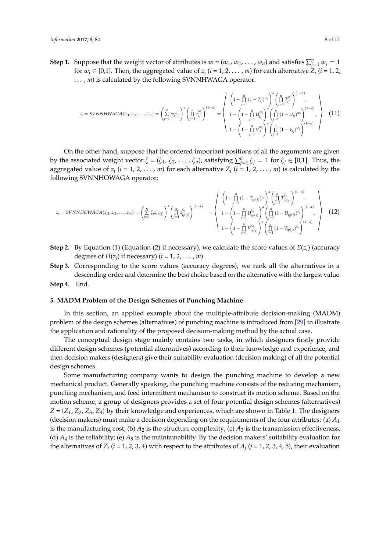**Step 1.** Suppose that the weight vector of attributes is  $w = (w_1, w_2, \dots, w_n)$  and satisfies  $\sum_{j=1}^n w_j = 1$ for  $w_j \in [0,1]$ . Then, the aggregated value of  $z_i$   $(i = 1, 2, \ldots, m)$  for each alternative  $Z_i$   $(i = 1, 2, \ldots, m)$ ..., *m*) is calculated by the following SVNNHWAGA operator:

$$
z_{i} = SVNNHWAGA(z_{i1}, z_{i2},..., z_{in}) = \left(\sum_{j=1}^{n} w_{j}z_{ij}\right)^{\alpha} \left(\prod_{j=1}^{n} z_{ij}^{w_{j}}\right)^{(1-\alpha)} = \left(\begin{array}{c} \left(1 - \prod_{j=1}^{n} (1 - T_{ij})^{w_{j}}\right)^{\alpha} \left(\prod_{j=1}^{n} T_{ij}^{w_{j}}\right)^{(1-\alpha)} \\ 1 - \left(1 - \prod_{j=1}^{n} U_{ij}^{w_{j}}\right)^{\alpha} \left(\prod_{j=1}^{n} (1 - U_{ij})^{w_{j}}\right)^{(1-\alpha)} \\ 1 - \left(1 - \prod_{j=1}^{n} V_{ij}^{w_{j}}\right)^{\alpha} \left(\prod_{j=1}^{n} (1 - V_{ij})^{w_{j}}\right)^{(1-\alpha)} \end{array}\right) \tag{11}
$$

On the other hand, suppose that the ordered important positions of all the arguments are given by the associated weight vector  $\zeta = (\zeta_1, \zeta_2, \dots, \zeta_n)$ , satisfying  $\sum_{j=1}^n \zeta_j = 1$  for  $\zeta_j \in [0,1]$ . Thus, the aggregated value of  $z_i$  ( $i = 1, 2, ..., m$ ) for each alternative  $Z_i$  ( $i = 1, 2, ..., m$ ) is calculated by the following SVNNHOWAGA operator:

$$
z_{i} = SVMMOWAGA(z_{i1}, z_{i2},..., z_{in}) = \left(\sum_{j=1}^{n} \zeta_{j} z_{ip(j)}\right)^{\alpha} \left(\prod_{j=1}^{n} z_{ip(j)}^{z_{j}}\right)^{(1-\alpha)} = \left(\begin{array}{c} \left(1 - \prod_{j=1}^{n} (1 - T_{ip(j)})^{\zeta_{j}}\right)^{\alpha} \left(\prod_{j=1}^{n} T_{ip(j)}^{z_{j}}\right)^{(1-\alpha)},\\ 1 - \left(1 - \prod_{j=1}^{n} U_{ip(j)}^{z_{j}}\right)^{\alpha} \left(\prod_{j=1}^{n} (1 - U_{ip(j)})^{\zeta_{j}}\right)^{(1-\alpha)},\\ 1 - \left(1 - \prod_{j=1}^{n} V_{ip(j)}^{z_{j}}\right)^{\alpha} \left(\prod_{j=1}^{n} (1 - V_{ip(j)})^{\zeta_{j}}\right)^{(1-\alpha)}\end{array}\right) \tag{12}
$$

- **Step 2.** By Equation (1) (Equation (2) if necessary), we calculate the score values of  $E(z_i)$  (accuracy degrees of  $H(z_i)$  if necessary) ( $i = 1, 2, ..., m$ ).
- **Step 3.** Corresponding to the score values (accuracy degrees), we rank all the alternatives in a descending order and determine the best choice based on the alternative with the largest value.

**Step 4.** End.

#### <span id="page-7-0"></span>**5. MADM Problem of the Design Schemes of Punching Machine**

In this section, an applied example about the multiple-attribute decision-making (MADM) problem of the design schemes (alternatives) of punching machine is introduced from [\[29\]](#page-11-16) to illustrate the application and rationality of the proposed decision-making method by the actual case.

The conceptual design stage mainly contains two tasks, in which designers firstly provide different design schemes (potential alternatives) according to their knowledge and experience, and then decision makers (designers) give their suitability evaluation (decision making) of all the potential design schemes.

Some manufacturing company wants to design the punching machine to develop a new mechanical product. Generally speaking, the punching machine consists of the reducing mechanism, punching mechanism, and feed intermittent mechanism to construct its motion scheme. Based on the motion scheme, a group of designers provides a set of four potential design schemes (alternatives)  $Z = \{Z_1, Z_2, Z_3, Z_4\}$  by their knowledge and experiences, which are shown in Table [1.](#page-8-0) The designers (decision makers) must make a decision depending on the requirements of the four attributes: (a) *A*<sup>1</sup> is the manufacturing cost; (b)  $A_2$  is the structure complexity; (c)  $A_3$  is the transmission effectiveness; (d)  $A_4$  is the reliability; (e)  $A_5$  is the maintainability. By the decision makers' suitability evaluation for the alternatives of  $Z_i$  ( $i = 1, 2, 3, 4$ ) with respect to the attributes of  $A_j$  ( $j = 1, 2, 3, 4, 5$ ), their evaluation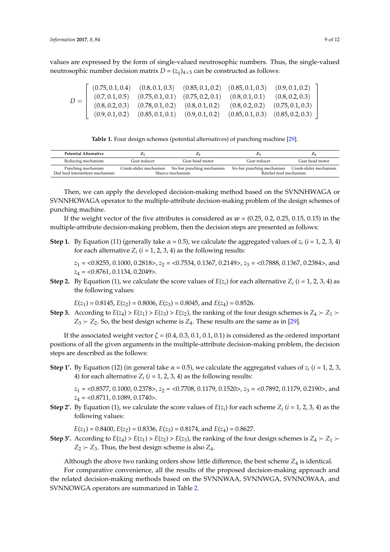values are expressed by the form of single-valued neutrosophic numbers. Thus, the single-valued neutrosophic number decision matrix  $D = (z_{ii})_{4 \times 5}$  can be constructed as follows:

$$
D = \left[\begin{array}{cccccc} (0.75, 0.1, 0.4) & (0.8, 0.1, 0.3) & (0.85, 0.1, 0.2) & (0.85, 0.1, 0.3) & (0.9, 0.1, 0.2) \\ (0.7, 0.1, 0.5) & (0.75, 0.1, 0.1) & (0.75, 0.2, 0.1) & (0.8, 0.1, 0.1) & (0.8, 0.2, 0.3) \\ (0.8, 0.2, 0.3) & (0.78, 0.1, 0.2) & (0.8, 0.1, 0.2) & (0.8, 0.2, 0.2) & (0.75, 0.1, 0.3) \\ (0.9, 0.1, 0.2) & (0.85, 0.1, 0.1) & (0.9, 0.1, 0.2) & (0.85, 0.1, 0.3) & (0.85, 0.2, 0.3) \end{array}\right]
$$

**Table 1.** Four design schemes (potential alternatives) of punching machine [\[29\]](#page-11-16).

<span id="page-8-0"></span>

| <b>Potential Alternative</b>     |                        | L,                         | $\mathcal{L}$                                     | ∠⊿              |
|----------------------------------|------------------------|----------------------------|---------------------------------------------------|-----------------|
| Reducing mechanism               | Gear reducer           | Gear head motor            | Gear reducer                                      | Gear head motor |
| Punching mechanism               | Crank-slider mechanism | Six-bar punching mechanism | Six-bar punching mechanism Crank-slider mechanism |                 |
| Dial feed intermittent mechanism | Sheave mechanism       |                            | Ratchet feed mechanism                            |                 |

Then, we can apply the developed decision-making method based on the SVNNHWAGA or SVNNHOWAGA operator to the multiple-attribute decision-making problem of the design schemes of punching machine.

If the weight vector of the five attributes is considered as  $w = (0.25, 0.2, 0.25, 0.15, 0.15)$  in the multiple-attribute decision-making problem, then the decision steps are presented as follows:

**Step 1.** By Equation (11) (generally take  $\alpha = 0.5$ ), we calculate the aggregated values of  $z_i$  ( $i = 1, 2, 3, 4$ ) for each alternative  $Z_i$   $(i = 1, 2, 3, 4)$  as the following results:

*z*<sup>1</sup> = <0.8255, 0.1000, 0.2818>, *z*<sup>2</sup> = <0.7534, 0.1367, 0.2149>, *z*<sup>3</sup> = <0.7888, 0.1367, 0.2384>, and *z*<sup>4</sup> = <0.8761, 0.1134, 0.2049>.

**Step 2.** By Equation (1), we calculate the score values of  $E(z_i)$  for each alternative  $Z_i$  ( $i = 1, 2, 3, 4$ ) as the following values:

 $E(z_1) = 0.8145$ ,  $E(z_2) = 0.8006$ ,  $E(z_3) = 0.8045$ , and  $E(z_4) = 0.8526$ .

**Step 3.** According to  $E(z_4) > E(z_1) > E(z_3) > E(z_2)$ , the ranking of the four design schemes is  $Z_4 > Z_1$  $Z_3 \succ Z_2$ . So, the best design scheme is  $Z_4$ . These results are the same as in [\[29\]](#page-11-16).

If the associated weight vector  $\zeta = (0.4, 0.3, 0.1, 0.1, 0.1)$  is considered as the ordered important positions of all the given arguments in the multiple-attribute decision-making problem, the decision steps are described as the follows:

**Step 1'.** By Equation (12) (in general take  $\alpha = 0.5$ ), we calculate the aggregated values of  $z_i$  ( $i = 1, 2, 3$ , 4) for each alternative  $Z_i$  ( $i = 1, 2, 3, 4$ ) as the following results:

*z*<sup>1</sup> = <0.8577, 0.1000, 0.2378>, *z*<sup>2</sup> = <0.7708, 0.1179, 0.1520>, *z*<sup>3</sup> = <0.7892, 0.1179, 0.2190>, and *z*<sup>4</sup> = <0.8711, 0.1089, 0.1740>.

**Step 2'.** By Equation (1), we calculate the score values of  $E(z_i)$  for each scheme  $Z_i$  ( $i = 1, 2, 3, 4$ ) as the following values:

 $E(z_1) = 0.8400$ ,  $E(z_2) = 0.8336$ ,  $E(z_3) = 0.8174$ , and  $E(z_4) = 0.8627$ .

**Step 3'.** According to  $E(z_4) > E(z_1) > E(z_2) > E(z_3)$ , the ranking of the four design schemes is  $Z_4 > Z_1$  $Z_2 \succ Z_3$ . Thus, the best design scheme is also  $Z_4$ .

Although the above two ranking orders show little difference, the best scheme  $Z_4$  is identical.

For comparative convenience, all the results of the proposed decision-making approach and the related decision-making methods based on the SVNNWAA, SVNNWGA, SVNNOWAA, and SVNNOWGA operators are summarized in Table [2.](#page-9-0)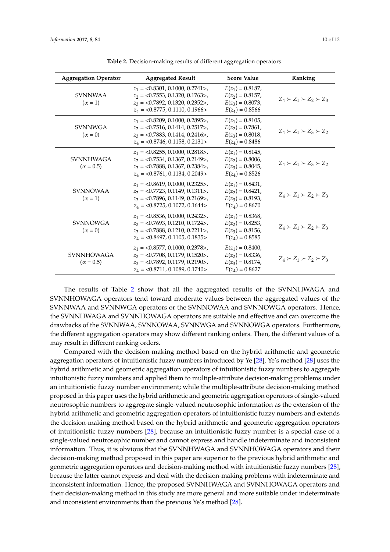<span id="page-9-0"></span>

| <b>Aggregation Operator</b>           | <b>Aggregated Result</b>                                                                                                                   | <b>Score Value</b>                                                                     | Ranking                             |
|---------------------------------------|--------------------------------------------------------------------------------------------------------------------------------------------|----------------------------------------------------------------------------------------|-------------------------------------|
| <b>SVNNWAA</b><br>$(\alpha = 1)$      | $z_1 = 0.8301, 0.1000, 0.2741$ ,<br>$z_2 = 0.7553, 0.1320, 0.1763$ ,<br>$z_3 = 0.7892, 0.1320, 0.2352$ ,<br>$z_4 = 0.8775, 0.1110, 0.1966$ | $E(z_1) = 0.8187$ ,<br>$E(z_2) = 0.8157,$<br>$E(z_3) = 0.8073,$<br>$E(z_4) = 0.8566$   | $Z_4 \succ Z_1 \succ Z_2 \succ Z_3$ |
| <b>SVNNWGA</b><br>$(\alpha = 0)$      | $z_1 = 0.8209, 0.1000, 0.2895$ ,<br>$z_2 = 0.7516, 0.1414, 0.2517$ ,<br>$z_3 = 0.7883, 0.1414, 0.2416$ ,<br>$z_4 = 0.8746, 0.1158, 0.2131$ | $E(z_1) = 0.8105$ ,<br>$E(z_2) = 0.7861$ ,<br>$E(z_3) = 0.8018$ ,<br>$E(z_4) = 0.8486$ | $Z_4 \succ Z_1 \succ Z_3 \succ Z_2$ |
| <b>SVNNHWAGA</b><br>$(\alpha = 0.5)$  | $z_1 = 0.8255, 0.1000, 0.2818$ ,<br>$z_2 = 0.7534, 0.1367, 0.2149$ ,<br>$z_3 = 0.7888, 0.1367, 0.2384$ ,<br>$z_4 = 0.8761, 0.1134, 0.2049$ | $E(z_1) = 0.8145$ ,<br>$E(z_2) = 0.8006$ ,<br>$E(z_3) = 0.8045$ ,<br>$E(z_4) = 0.8526$ | $Z_4 \succ Z_1 \succ Z_3 \succ Z_2$ |
| <b>SVNNOWAA</b><br>$(\alpha = 1)$     | $z_1 = 0.8619, 0.1000, 0.2325$ ,<br>$z_2 = 0.7723$ , 0.1149, 0.1311>,<br>$z_3 = 0.7896, 0.1149, 0.2169$<br>$z_4 = 0.8725, 0.1072, 0.1644$  | $E(z_1) = 0.8431,$<br>$E(z_2) = 0.8421$ ,<br>$E(z_3) = 0.8193$ ,<br>$E(z_4) = 0.8670$  | $Z_4 \succ Z_1 \succ Z_2 \succ Z_3$ |
| <b>SVNNOWGA</b><br>$(\alpha = 0)$     | $z_1 = 0.8536, 0.1000, 0.2432$ ,<br>$z_2 = 0.7693, 0.1210, 0.1724$ ,<br>$z_3 = 0.7888, 0.1210, 0.2211$ ,<br>$z_4 = 0.8697, 0.1105, 0.1835$ | $E(z_1) = 0.8368$ ,<br>$E(z_2) = 0.8253,$<br>$E(z_3) = 0.8156$ ,<br>$E(z_4) = 0.8585$  | $Z_4 \succ Z_1 \succ Z_2 \succ Z_3$ |
| <b>SVNNHOWAGA</b><br>$(\alpha = 0.5)$ | $z_1 = 0.8577, 0.1000, 0.2378$ ,<br>$z_2 = 0.7708, 0.1179, 0.1520$ ,<br>$z_3 = 0.7892, 0.1179, 0.2190$ ,<br>$z_4 = 0.8711, 0.1089, 0.1740$ | $E(z_1) = 0.8400,$<br>$E(z_2) = 0.8336,$<br>$E(z_3) = 0.8174$ ,<br>$E(z_4) = 0.8627$   | $Z_4 \succ Z_1 \succ Z_2 \succ Z_3$ |

**Table 2.** Decision-making results of different aggregation operators.

The results of Table [2](#page-9-0) show that all the aggregated results of the SVNNHWAGA and SVNNHOWAGA operators tend toward moderate values between the aggregated values of the SVNNWAA and SVNNWGA operators or the SVNNOWAA and SVNNOWGA operators. Hence, the SVNNHWAGA and SVNNHOWAGA operators are suitable and effective and can overcome the drawbacks of the SVNNWAA, SVNNOWAA, SVNNWGA and SVNNOWGA operators. Furthermore, the different aggregation operators may show different ranking orders. Then, the different values of  $\alpha$ may result in different ranking orders.

Compared with the decision-making method based on the hybrid arithmetic and geometric aggregation operators of intuitionistic fuzzy numbers introduced by Ye [\[28\]](#page-11-15), Ye's method [\[28\]](#page-11-15) uses the hybrid arithmetic and geometric aggregation operators of intuitionistic fuzzy numbers to aggregate intuitionistic fuzzy numbers and applied them to multiple-attribute decision-making problems under an intuitionistic fuzzy number environment; while the multiple-attribute decision-making method proposed in this paper uses the hybrid arithmetic and geometric aggregation operators of single-valued neutrosophic numbers to aggregate single-valued neutrosophic information as the extension of the hybrid arithmetic and geometric aggregation operators of intuitionistic fuzzy numbers and extends the decision-making method based on the hybrid arithmetic and geometric aggregation operators of intuitionistic fuzzy numbers [\[28\]](#page-11-15), because an intuitionistic fuzzy number is a special case of a single-valued neutrosophic number and cannot express and handle indeterminate and inconsistent information. Thus, it is obvious that the SVNNHWAGA and SVNNHOWAGA operators and their decision-making method proposed in this paper are superior to the previous hybrid arithmetic and geometric aggregation operators and decision-making method with intuitionistic fuzzy numbers [\[28\]](#page-11-15), because the latter cannot express and deal with the decision-making problems with indeterminate and inconsistent information. Hence, the proposed SVNNHWAGA and SVNNHOWAGA operators and their decision-making method in this study are more general and more suitable under indeterminate and inconsistent environments than the previous Ye's method [\[28\]](#page-11-15).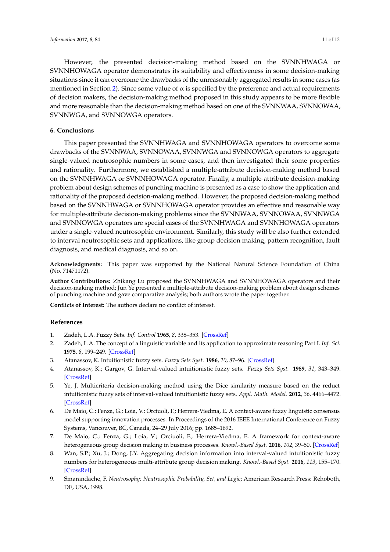However, the presented decision-making method based on the SVNNHWAGA or SVNNHOWAGA operator demonstrates its suitability and effectiveness in some decision-making situations since it can overcome the drawbacks of the unreasonably aggregated results in some cases (as mentioned in Section [2\)](#page-2-0). Since some value of  $\alpha$  is specified by the preference and actual requirements of decision makers, the decision-making method proposed in this study appears to be more flexible and more reasonable than the decision-making method based on one of the SVNNWAA, SVNNOWAA, SVNNWGA, and SVNNOWGA operators.

# <span id="page-10-7"></span>**6. Conclusions**

This paper presented the SVNNHWAGA and SVNNHOWAGA operators to overcome some drawbacks of the SVNNWAA, SVNNOWAA, SVNNWGA and SVNNOWGA operators to aggregate single-valued neutrosophic numbers in some cases, and then investigated their some properties and rationality. Furthermore, we established a multiple-attribute decision-making method based on the SVNNHWAGA or SVNNHOWAGA operator. Finally, a multiple-attribute decision-making problem about design schemes of punching machine is presented as a case to show the application and rationality of the proposed decision-making method. However, the proposed decision-making method based on the SVNNHWAGA or SVNNHOWAGA operator provides an effective and reasonable way for multiple-attribute decision-making problems since the SVNNWAA, SVNNOWAA, SVNNWGA and SVNNOWGA operators are special cases of the SVNNHWAGA and SVNNHOWAGA operators under a single-valued neutrosophic environment. Similarly, this study will be also further extended to interval neutrosophic sets and applications, like group decision making, pattern recognition, fault diagnosis, and medical diagnosis, and so on.

**Acknowledgments:** This paper was supported by the National Natural Science Foundation of China (No. 71471172).

**Author Contributions:** Zhikang Lu proposed the SVNNHWAGA and SVNNHOWAGA operators and their decision-making method; Jun Ye presented a multiple-attribute decision-making problem about design schemes of punching machine and gave comparative analysis; both authors wrote the paper together.

**Conflicts of Interest:** The authors declare no conflict of interest.

### **References**

- <span id="page-10-0"></span>1. Zadeh, L.A. Fuzzy Sets. *Inf. Control* **1965**, *8*, 338–353. [\[CrossRef\]](http://dx.doi.org/10.1016/S0019-9958(65)90241-X)
- <span id="page-10-1"></span>2. Zadeh, L.A. The concept of a linguistic variable and its application to approximate reasoning Part I. *Inf. Sci.* **1975**, *8*, 199–249. [\[CrossRef\]](http://dx.doi.org/10.1016/0020-0255(75)90036-5)
- <span id="page-10-2"></span>3. Atanassov, K. Intuitionistic fuzzy sets. *Fuzzy Sets Syst.* **1986**, *20*, 87–96. [\[CrossRef\]](http://dx.doi.org/10.1016/S0165-0114(86)80034-3)
- <span id="page-10-3"></span>4. Atanassov, K.; Gargov, G. Interval-valued intuitionistic fuzzy sets. *Fuzzy Sets Syst.* **1989**, *31*, 343–349. [\[CrossRef\]](http://dx.doi.org/10.1016/0165-0114(89)90205-4)
- <span id="page-10-4"></span>5. Ye, J. Multicriteria decision-making method using the Dice similarity measure based on the reduct intuitionistic fuzzy sets of interval-valued intuitionistic fuzzy sets. *Appl. Math. Model.* **2012**, *36*, 4466–4472. [\[CrossRef\]](http://dx.doi.org/10.1016/j.apm.2011.11.075)
- 6. De Maio, C.; Fenza, G.; Loia, V.; Orciuoli, F.; Herrera-Viedma, E. A context-aware fuzzy linguistic consensus model supporting innovation processes. In Proceedings of the 2016 IEEE International Conference on Fuzzy Systems, Vancouver, BC, Canada, 24–29 July 2016; pp. 1685–1692.
- 7. De Maio, C.; Fenza, G.; Loia, V.; Orciuoli, F.; Herrera-Viedma, E. A framework for context-aware heterogeneous group decision making in business processes. *Knowl.-Based Syst.* **2016**, *102*, 39–50. [\[CrossRef\]](http://dx.doi.org/10.1016/j.knosys.2016.03.019)
- <span id="page-10-5"></span>8. Wan, S.P.; Xu, J.; Dong, J.Y. Aggregating decision information into interval-valued intuitionistic fuzzy numbers for heterogeneous multi-attribute group decision making. *Knowl.-Based Syst.* **2016**, *113*, 155–170. [\[CrossRef\]](http://dx.doi.org/10.1016/j.knosys.2016.09.026)
- <span id="page-10-6"></span>9. Smarandache, F. *Neutrosophy: Neutrosophic Probability, Set, and Logic*; American Research Press: Rehoboth, DE, USA, 1998.